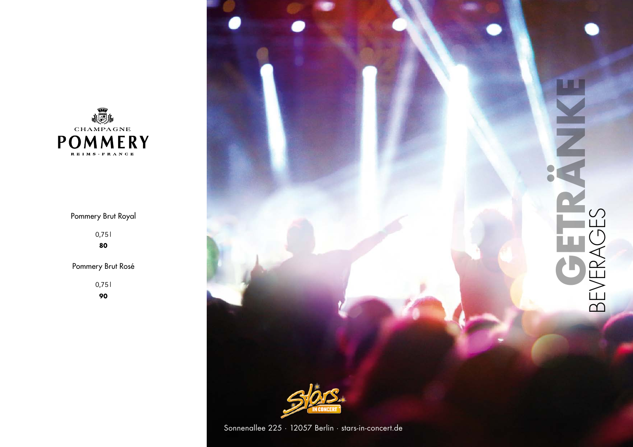

# Pommery Brut Royal

0,75 l **80**

Pommery Brut Rosé

0,75 l

**90**



Sonnenallee 225 · 12057 Berlin · stars-in-concert.de